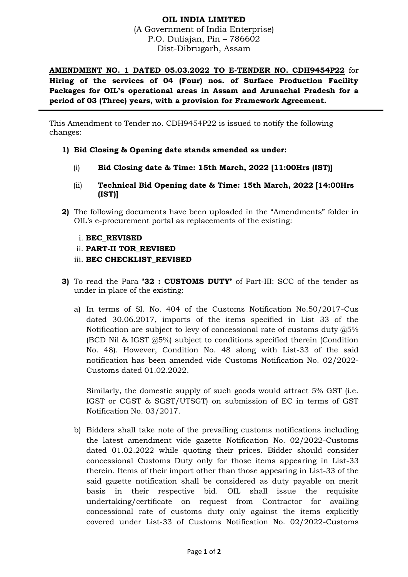## **OIL INDIA LIMITED**

(A Government of India Enterprise) P.O. Duliajan, Pin – 786602 Dist-Dibrugarh, Assam

**AMENDMENT NO. 1 DATED 05.03.2022 TO E-TENDER NO. CDH9454P22** for **Hiring of the services of 04 (Four) nos. of Surface Production Facility Packages for OIL's operational areas in Assam and Arunachal Pradesh for a period of 03 (Three) years, with a provision for Framework Agreement.**

This Amendment to Tender no. CDH9454P22 is issued to notify the following changes:

- **1) Bid Closing & Opening date stands amended as under:**
	- (i) **Bid Closing date & Time: 15th March, 2022 [11:00Hrs (IST)]**
	- (ii) **Technical Bid Opening date & Time: 15th March, 2022 [14:00Hrs (IST)]**
- **2)** The following documents have been uploaded in the "Amendments" folder in OIL's e-procurement portal as replacements of the existing:
	- i. **BEC\_REVISED**
	- ii. **PART-II TOR\_REVISED**
	- iii. **BEC CHECKLIST\_REVISED**
- **3)** To read the Para **'32 : CUSTOMS DUTY'** of Part-III: SCC of the tender as under in place of the existing:
	- a) In terms of Sl. No. 404 of the Customs Notification No.50/2017-Cus dated 30.06.2017, imports of the items specified in List 33 of the Notification are subject to levy of concessional rate of customs duty @5% (BCD Nil & IGST @5%) subject to conditions specified therein (Condition No. 48). However, Condition No. 48 along with List-33 of the said notification has been amended vide Customs Notification No. 02/2022- Customs dated 01.02.2022.

Similarly, the domestic supply of such goods would attract 5% GST (i.e. IGST or CGST & SGST/UTSGT) on submission of EC in terms of GST Notification No. 03/2017.

b) Bidders shall take note of the prevailing customs notifications including the latest amendment vide gazette Notification No. 02/2022-Customs dated 01.02.2022 while quoting their prices. Bidder should consider concessional Customs Duty only for those items appearing in List-33 therein. Items of their import other than those appearing in List-33 of the said gazette notification shall be considered as duty payable on merit basis in their respective bid. OIL shall issue the requisite undertaking/certificate on request from Contractor for availing concessional rate of customs duty only against the items explicitly covered under List-33 of Customs Notification No. 02/2022-Customs